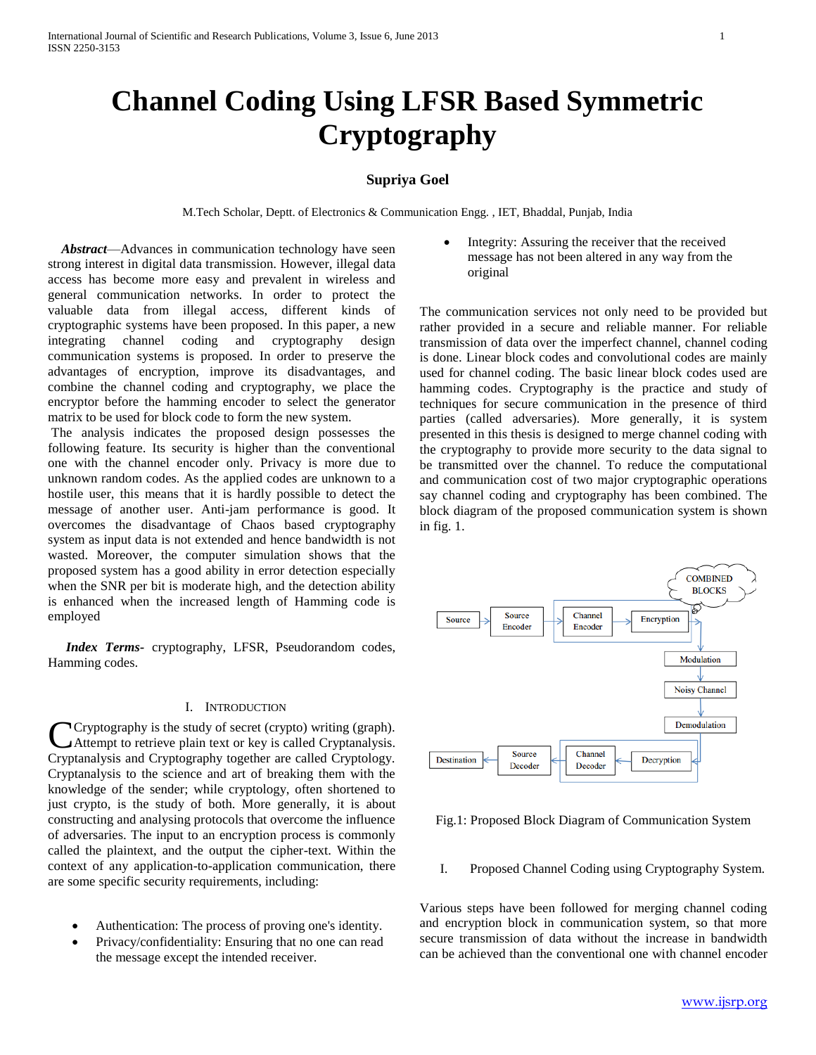# **Channel Coding Using LFSR Based Symmetric Cryptography**

## **Supriya Goel**

M.Tech Scholar, Deptt. of Electronics & Communication Engg. , IET, Bhaddal, Punjab, India

 *Abstract*—Advances in communication technology have seen strong interest in digital data transmission. However, illegal data access has become more easy and prevalent in wireless and general communication networks. In order to protect the valuable data from illegal access, different kinds of cryptographic systems have been proposed. In this paper, a new integrating channel coding and cryptography design communication systems is proposed. In order to preserve the advantages of encryption, improve its disadvantages, and combine the channel coding and cryptography, we place the encryptor before the hamming encoder to select the generator matrix to be used for block code to form the new system.

The analysis indicates the proposed design possesses the following feature. Its security is higher than the conventional one with the channel encoder only. Privacy is more due to unknown random codes. As the applied codes are unknown to a hostile user, this means that it is hardly possible to detect the message of another user. Anti-jam performance is good. It overcomes the disadvantage of Chaos based cryptography system as input data is not extended and hence bandwidth is not wasted. Moreover, the computer simulation shows that the proposed system has a good ability in error detection especially when the SNR per bit is moderate high, and the detection ability is enhanced when the increased length of Hamming code is employed

*Index Terms-* cryptography, LFSR, Pseudorandom codes, Hamming codes.

## I. INTRODUCTION

Cryptography is the study of secret (crypto) writing (graph). Attempt to retrieve plain text or key is called Cryptanalysis. Cryptography is the study of secret (crypto) writing (graph).<br>Cryptanalysis and Cryptography together are called Cryptology. Cryptanalysis to the science and art of breaking them with the knowledge of the sender; while cryptology, often shortened to just crypto, is the study of both. More generally, it is about constructing and analysing protocols that overcome the influence of adversaries. The input to an encryption process is commonly called the plaintext, and the output the cipher-text. Within the context of any application-to-application communication, there are some specific security requirements, including:

- Authentication: The process of proving one's identity.
- Privacy/confidentiality: Ensuring that no one can read the message except the intended receiver.

 Integrity: Assuring the receiver that the received message has not been altered in any way from the original

The communication services not only need to be provided but rather provided in a secure and reliable manner. For reliable transmission of data over the imperfect channel, channel coding is done. Linear block codes and convolutional codes are mainly used for channel coding. The basic linear block codes used are hamming codes. Cryptography is the practice and study of techniques for secure communication in the presence of third parties (called adversaries). More generally, it is system presented in this thesis is designed to merge channel coding with the cryptography to provide more security to the data signal to be transmitted over the channel. To reduce the computational and communication cost of two major cryptographic operations say channel coding and cryptography has been combined. The block diagram of the proposed communication system is shown in fig. 1.



Fig.1: Proposed Block Diagram of Communication System

## I. Proposed Channel Coding using Cryptography System.

Various steps have been followed for merging channel coding and encryption block in communication system, so that more secure transmission of data without the increase in bandwidth can be achieved than the conventional one with channel encoder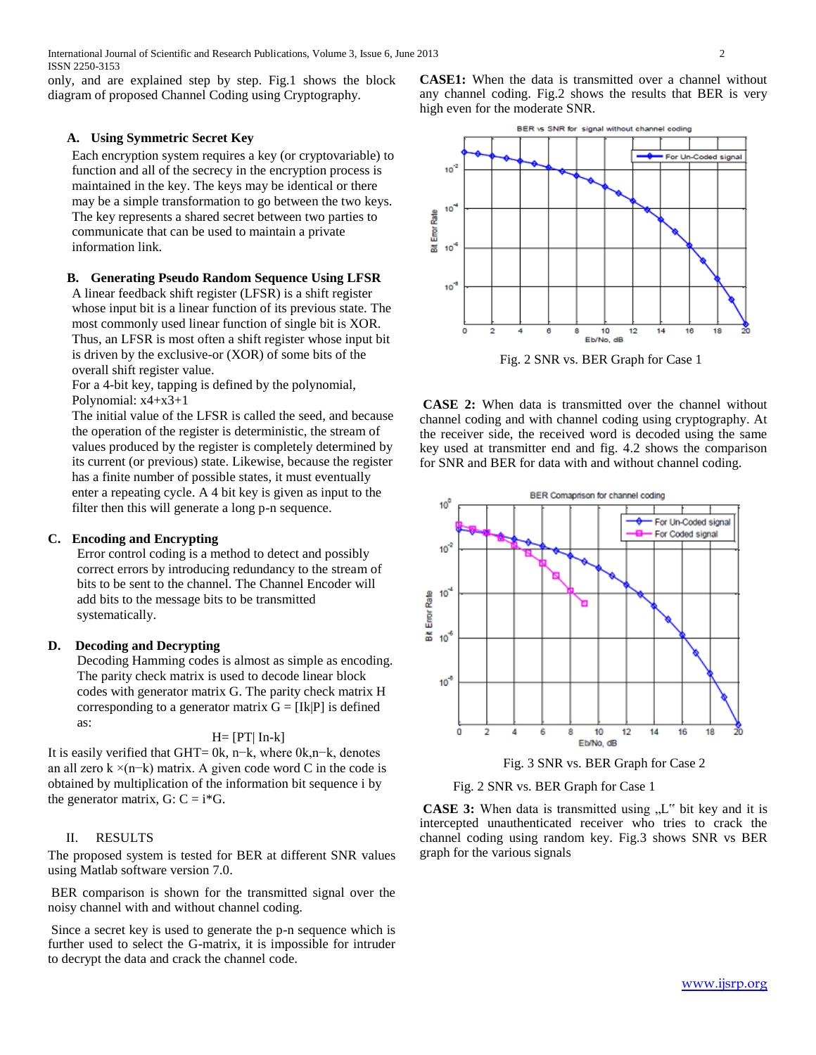only, and are explained step by step. Fig.1 shows the block diagram of proposed Channel Coding using Cryptography.

## **A. Using Symmetric Secret Key**

Each encryption system requires a key (or cryptovariable) to function and all of the secrecy in the encryption process is maintained in the key. The keys may be identical or there may be a simple transformation to go between the two keys. The key represents a shared secret between two parties to communicate that can be used to maintain a private information link.

#### **B. Generating Pseudo Random Sequence Using LFSR**

A linear feedback shift register (LFSR) is a shift register whose input bit is a linear function of its previous state. The most commonly used linear function of single bit is XOR. Thus, an LFSR is most often a shift register whose input bit is driven by the exclusive-or (XOR) of some bits of the overall shift register value.

For a 4-bit key, tapping is defined by the polynomial, Polynomial: x4+x3+1

The initial value of the LFSR is called the seed, and because the operation of the register is deterministic, the stream of values produced by the register is completely determined by its current (or previous) state. Likewise, because the register has a finite number of possible states, it must eventually enter a repeating cycle. A 4 bit key is given as input to the filter then this will generate a long p-n sequence.

## **C. Encoding and Encrypting**

Error control coding is a method to detect and possibly correct errors by introducing redundancy to the stream of bits to be sent to the channel. The Channel Encoder will add bits to the message bits to be transmitted systematically.

## **D. Decoding and Decrypting**

Decoding Hamming codes is almost as simple as encoding. The parity check matrix is used to decode linear block codes with generator matrix G. The parity check matrix H corresponding to a generator matrix  $G = [Ik]P]$  is defined as:

#### $H=[PT| In-k]$

It is easily verified that GHT= 0k, n−k, where 0k,n−k, denotes an all zero k ×(n−k) matrix. A given code word C in the code is obtained by multiplication of the information bit sequence i by the generator matrix,  $G: C = i*G$ .

## II. RESULTS

The proposed system is tested for BER at different SNR values using Matlab software version 7.0.

BER comparison is shown for the transmitted signal over the noisy channel with and without channel coding.

Since a secret key is used to generate the p-n sequence which is further used to select the G-matrix, it is impossible for intruder to decrypt the data and crack the channel code.

**CASE1:** When the data is transmitted over a channel without any channel coding. Fig.2 shows the results that BER is very high even for the moderate SNR.



Fig. 2 SNR vs. BER Graph for Case 1

**CASE 2:** When data is transmitted over the channel without channel coding and with channel coding using cryptography. At the receiver side, the received word is decoded using the same key used at transmitter end and fig. 4.2 shows the comparison for SNR and BER for data with and without channel coding.



Fig. 3 SNR vs. BER Graph for Case 2

Fig. 2 SNR vs. BER Graph for Case 1

**CASE 3:** When data is transmitted using "L" bit key and it is intercepted unauthenticated receiver who tries to crack the channel coding using random key. Fig.3 shows SNR vs BER graph for the various signals